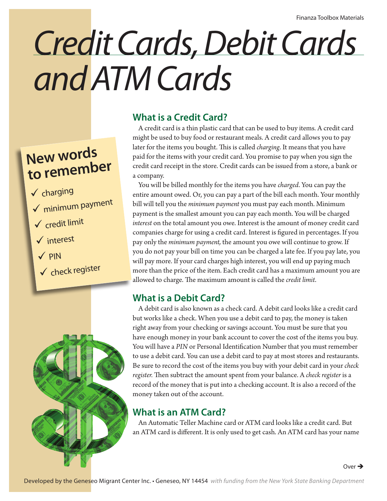# *Credit Cards, Debit Cards and ATM Cards*

## **New words to remember**

- $\checkmark$  charging
- $\checkmark$  minimum payment
- $\checkmark$  credit limit
- $\checkmark$  interest
- $\sqrt{p}$ IN
- $\checkmark$  check register



### **What is a Credit Card?**

A credit card is a thin plastic card that can be used to buy items. A credit card might be used to buy food or restaurant meals. A credit card allows you to pay later for the items you bought. This is called *charging*. It means that you have paid for the items with your credit card. You promise to pay when you sign the credit card receipt in the store. Credit cards can be issued from a store, a bank or a company.

You will be billed monthly for the items you have *charged*. You can pay the entire amount owed. Or, you can pay a part of the bill each month. Your monthly bill will tell you the *minimum payment* you must pay each month. Minimum payment is the smallest amount you can pay each month. You will be charged *interest* on the total amount you owe. Interest is the amount of money credit card companies charge for using a credit card. Interest is figured in percentages. If you pay only the *minimum payment,* the amount you owe will continue to grow. If you do not pay your bill on time you can be charged a late fee. If you pay late, you will pay more. If your card charges high interest, you will end up paying much more than the price of the item. Each credit card has a maximum amount you are allowed to charge. The maximum amount is called the *credit limit*.

## **What is a Debit Card?**

A debit card is also known as a check card. A debit card looks like a credit card but works like a check. When you use a debit card to pay, the money is taken right away from your checking or savings account. You must be sure that you have enough money in your bank account to cover the cost of the items you buy. You will have a *PIN* or Personal Identification Number that you must remember to use a debit card. You can use a debit card to pay at most stores and restaurants. Be sure to record the cost of the items you buy with your debit card in your *check register.* Then subtract the amount spent from your balance. A *check register* is a record of the money that is put into a checking account. It is also a record of the money taken out of the account.

### **What is an ATM Card?**

An Automatic Teller Machine card or ATM card looks like a credit card. But an ATM card is different. It is only used to get cash. An ATM card has your name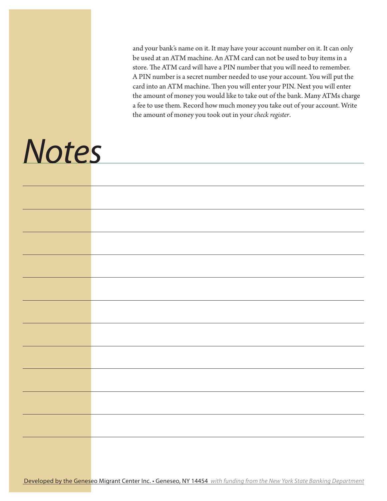and your bank's name on it. It may have your account number on it. It can only be used at an ATM machine. An ATM card can not be used to buy items in a store. The ATM card will have a PIN number that you will need to remember. A PIN number is a secret number needed to use your account. You will put the card into an ATM machine. Then you will enter your PIN. Next you will enter the amount of money you would like to take out of the bank. Many ATMs charge a fee to use them. Record how much money you take out of your account. Write the amount of money you took out in your *check register*.

## *Notes*

|  | Developed by the Geneseo Migrant Center Inc. • Geneseo, NY 14454 with funding from the New York State Banking Department |
|--|--------------------------------------------------------------------------------------------------------------------------|
|--|--------------------------------------------------------------------------------------------------------------------------|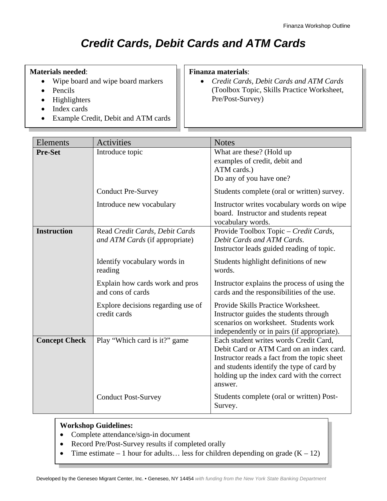## *Credit Cards, Debit Cards and ATM Cards*

#### **Materials needed**:

- Wipe board and wipe board markers
- Pencils
- Highlighters
- Index cards
- Example Credit, Debit and ATM cards

#### **Finanza materials**:

• *Credit Cards, Debit Cards and ATM Cards*  (Toolbox Topic, Skills Practice Worksheet, Pre/Post-Survey)

| Elements             | <b>Activities</b>                                                | <b>Notes</b>                                                                                                                                                                                                                             |
|----------------------|------------------------------------------------------------------|------------------------------------------------------------------------------------------------------------------------------------------------------------------------------------------------------------------------------------------|
| <b>Pre-Set</b>       | Introduce topic                                                  | What are these? (Hold up<br>examples of credit, debit and<br>ATM cards.)<br>Do any of you have one?                                                                                                                                      |
|                      | <b>Conduct Pre-Survey</b>                                        | Students complete (oral or written) survey.                                                                                                                                                                                              |
|                      | Introduce new vocabulary                                         | Instructor writes vocabulary words on wipe<br>board. Instructor and students repeat<br>vocabulary words.                                                                                                                                 |
| <b>Instruction</b>   | Read Credit Cards, Debit Cards<br>and ATM Cards (if appropriate) | Provide Toolbox Topic - Credit Cards,<br>Debit Cards and ATM Cards.<br>Instructor leads guided reading of topic.                                                                                                                         |
|                      | Identify vocabulary words in<br>reading                          | Students highlight definitions of new<br>words.                                                                                                                                                                                          |
|                      | Explain how cards work and pros<br>and cons of cards             | Instructor explains the process of using the<br>cards and the responsibilities of the use.                                                                                                                                               |
|                      | Explore decisions regarding use of<br>credit cards               | Provide Skills Practice Worksheet.<br>Instructor guides the students through<br>scenarios on worksheet. Students work<br>independently or in pairs (if appropriate).                                                                     |
| <b>Concept Check</b> | Play "Which card is it?" game                                    | Each student writes words Credit Card,<br>Debit Card or ATM Card on an index card.<br>Instructor reads a fact from the topic sheet<br>and students identify the type of card by<br>holding up the index card with the correct<br>answer. |
|                      | <b>Conduct Post-Survey</b>                                       | Students complete (oral or written) Post-<br>Survey.                                                                                                                                                                                     |

#### **Workshop Guidelines:**

- Complete attendance/sign-in document
- Record Pre/Post-Survey results if completed orally
- Time estimate 1 hour for adults... less for children depending on grade  $(K 12)$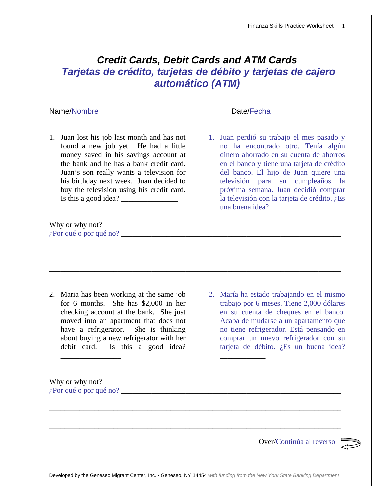#### *Credit Cards, Debit Cards and ATM Cards Tarjetas de crédito, tarjetas de débito y tarjetas de cajero automático (ATM)*

\_\_\_\_\_\_\_\_\_\_\_\_\_\_\_\_\_\_\_\_\_\_\_\_\_\_\_\_\_\_\_\_\_\_\_\_\_\_\_\_\_\_\_\_\_\_\_\_\_\_\_\_\_\_\_\_\_\_\_\_\_\_\_\_\_\_\_\_\_\_\_\_\_\_\_\_\_

\_\_\_\_\_\_\_\_\_\_\_\_\_\_\_\_\_\_\_\_\_\_\_\_\_\_\_\_\_\_\_\_\_\_\_\_\_\_\_\_\_\_\_\_\_\_\_\_\_\_\_\_\_\_\_\_\_\_\_\_\_\_\_\_\_\_\_\_\_\_\_\_\_\_\_\_\_

Name/Nombre \_\_\_\_\_\_\_\_\_\_\_\_\_\_\_\_\_\_\_\_\_\_\_\_\_\_\_\_ Date/Fecha \_\_\_\_\_\_\_\_\_\_\_\_\_\_\_\_\_

1. Juan lost his job last month and has not found a new job yet. He had a little money saved in his savings account at the bank and he has a bank credit card. Juan's son really wants a television for his birthday next week. Juan decided to buy the television using his credit card. Is this a good idea?  $\qquad \qquad$ 

Why or why not?  $i<sub>i</sub>$ Por qué o por qué no?  $\frac{1}{2}$ 

2. Maria has been working at the same job for 6 months. She has \$2,000 in her checking account at the bank. She just moved into an apartment that does not have a refrigerator. She is thinking about buying a new refrigerator with her debit card. Is this a good idea?

2. María ha estado trabajando en el mismo trabajo por 6 meses. Tiene 2,000 dólares en su cuenta de cheques en el banco. Acaba de mudarse a un apartamento que no tiene refrigerador. Está pensando en comprar un nuevo refrigerador con su tarjeta de débito. ¿Es un buena idea?

\_\_\_\_\_\_\_\_\_\_\_\_

Why or why not?  $i<sub>i</sub>$ Por qué o por qué no?  $\frac{1}{2}$ 

\_\_\_\_\_\_\_\_\_\_\_\_\_\_\_\_

Over/Continúa al reverso



Developed by the Geneseo Migrant Center, Inc. • Geneseo, NY 14454 *with funding from the New York State Banking Department*

\_\_\_\_\_\_\_\_\_\_\_\_\_\_\_\_\_\_\_\_\_\_\_\_\_\_\_\_\_\_\_\_\_\_\_\_\_\_\_\_\_\_\_\_\_\_\_\_\_\_\_\_\_\_\_\_\_\_\_\_\_\_\_\_\_\_\_\_\_\_\_\_\_\_\_\_\_

\_\_\_\_\_\_\_\_\_\_\_\_\_\_\_\_\_\_\_\_\_\_\_\_\_\_\_\_\_\_\_\_\_\_\_\_\_\_\_\_\_\_\_\_\_\_\_\_\_\_\_\_\_\_\_\_\_\_\_\_\_\_\_\_\_\_\_\_\_\_\_\_\_\_\_\_\_

1. Juan perdió su trabajo el mes pasado y no ha encontrado otro. Tenía algún dinero ahorrado en su cuenta de ahorros en el banco y tiene una tarjeta de crédito del banco. El hijo de Juan quiere una televisión para su cumpleaños la próxima semana. Juan decidió comprar la televisión con la tarjeta de crédito. ¿Es una buena idea? \_\_\_\_\_\_\_\_\_\_\_\_\_\_\_\_\_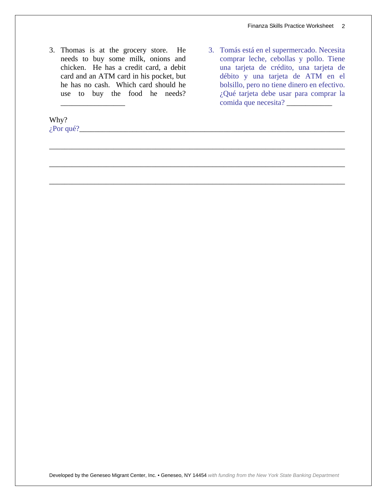3. Thomas is at the grocery store. He needs to buy some milk, onions and chicken. He has a credit card, a debit card and an ATM card in his pocket, but he has no cash. Which card should he use to buy the food he needs?

\_\_\_\_\_\_\_\_\_\_\_\_\_\_\_\_\_

Why? ¿Por qué?\_\_\_\_\_\_\_\_\_\_\_\_\_\_\_\_\_\_\_\_\_\_\_\_\_\_\_\_\_\_\_\_\_\_\_\_\_\_\_\_\_\_\_\_\_\_\_\_\_\_\_\_\_\_\_\_\_\_\_\_\_\_\_\_\_\_\_\_\_\_

3. Tomás está en el supermercado. Necesita comprar leche, cebollas y pollo. Tiene una tarjeta de crédito, una tarjeta de débito y una tarjeta de ATM en el bolsillo, pero no tiene dinero en efectivo. ¿Qué tarjeta debe usar para comprar la comida que necesita? \_\_\_\_\_\_\_\_\_\_\_\_

Developed by the Geneseo Migrant Center, Inc. • Geneseo, NY 14454 *with funding from the New York State Banking Department*

\_\_\_\_\_\_\_\_\_\_\_\_\_\_\_\_\_\_\_\_\_\_\_\_\_\_\_\_\_\_\_\_\_\_\_\_\_\_\_\_\_\_\_\_\_\_\_\_\_\_\_\_\_\_\_\_\_\_\_\_\_\_\_\_\_\_\_\_\_\_\_\_\_\_\_\_\_\_

\_\_\_\_\_\_\_\_\_\_\_\_\_\_\_\_\_\_\_\_\_\_\_\_\_\_\_\_\_\_\_\_\_\_\_\_\_\_\_\_\_\_\_\_\_\_\_\_\_\_\_\_\_\_\_\_\_\_\_\_\_\_\_\_\_\_\_\_\_\_\_\_\_\_\_\_\_\_

\_\_\_\_\_\_\_\_\_\_\_\_\_\_\_\_\_\_\_\_\_\_\_\_\_\_\_\_\_\_\_\_\_\_\_\_\_\_\_\_\_\_\_\_\_\_\_\_\_\_\_\_\_\_\_\_\_\_\_\_\_\_\_\_\_\_\_\_\_\_\_\_\_\_\_\_\_\_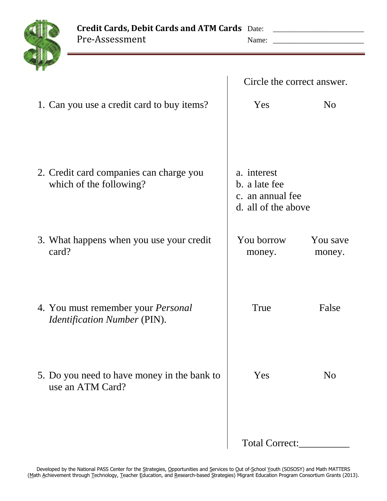

Pre-Assessment Name: \_\_\_\_\_\_\_\_\_\_\_\_\_\_\_\_\_\_\_\_\_\_\_\_

|                                                                                  | Circle the correct answer.                                              |                    |  |
|----------------------------------------------------------------------------------|-------------------------------------------------------------------------|--------------------|--|
| 1. Can you use a credit card to buy items?                                       | Yes                                                                     | N <sub>0</sub>     |  |
| 2. Credit card companies can charge you<br>which of the following?               | a. interest<br>b. a late fee<br>c. an annual fee<br>d. all of the above |                    |  |
| 3. What happens when you use your credit<br>card?                                | You borrow<br>money.                                                    | You save<br>money. |  |
| 4. You must remember your <i>Personal</i><br><i>Identification Number (PIN).</i> | True                                                                    | False              |  |
| 5. Do you need to have money in the bank to<br>use an ATM Card?                  | Yes                                                                     | N <sub>o</sub>     |  |
|                                                                                  | Total Correct:                                                          |                    |  |